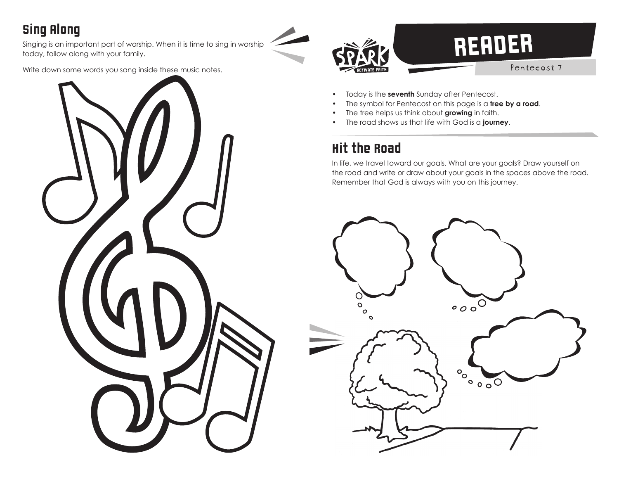## Sing Along

Singing is an important part of worship. When it is time to sing in worship today, follow along with your family.

Write down some words you sang inside these music notes.





- Today is the **seventh** Sunday after Pentecost.
- The symbol for Pentecost on this page is a **tree by a road**.
- The tree helps us think about **growing** in faith.
- The road shows us that life with God is a **journey**.

## Hit the Road

In life, we travel toward our goals. What are your goals? Draw yourself on the road and write or draw about your goals in the spaces above the road. Remember that God is always with you on this journey.